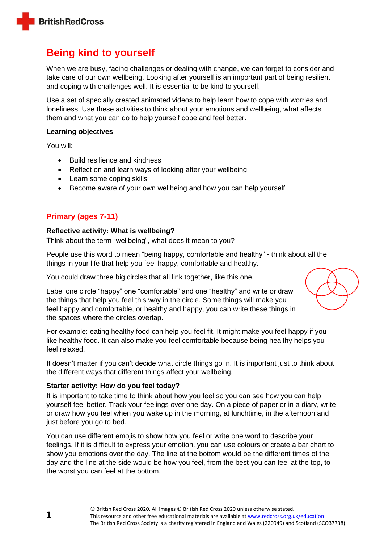

# **Being kind to yourself**

When we are busy, facing challenges or dealing with change, we can forget to consider and take care of our own wellbeing. Looking after yourself is an important part of being resilient and coping with challenges well. It is essential to be kind to yourself.

Use a set of specially created animated videos to help learn how to cope with worries and loneliness. Use these activities to think about your emotions and wellbeing, what affects them and what you can do to help yourself cope and feel better.

#### **Learning objectives**

You will:

- Build resilience and kindness
- Reflect on and learn ways of looking after your wellbeing
- Learn some coping skills
- Become aware of your own wellbeing and how you can help yourself

# **Primary (ages 7-11)**

#### **Reflective activity: What is wellbeing?**

Think about the term "wellbeing", what does it mean to you?

People use this word to mean "being happy, comfortable and healthy" - think about all the things in your life that help you feel happy, comfortable and healthy.

You could draw three big circles that all link together, like this one.

Label one circle "happy" one "comfortable" and one "healthy" and write or draw the things that help you feel this way in the circle. Some things will make you feel happy and comfortable, or healthy and happy, you can write these things in the spaces where the circles overlap.

For example: eating healthy food can help you feel fit. It might make you feel happy if you like healthy food. It can also make you feel comfortable because being healthy helps you feel relaxed.

It doesn't matter if you can't decide what circle things go in. It is important just to think about the different ways that different things affect your wellbeing.

# **Starter activity: How do you feel today?**

It is important to take time to think about how you feel so you can see how you can help yourself feel better. Track your feelings over one day. On a piece of paper or in a diary, write or draw how you feel when you wake up in the morning, at lunchtime, in the afternoon and just before you go to bed.

You can use different emojis to show how you feel or write one word to describe your feelings. If it is difficult to express your emotion, you can use colours or create a bar chart to show you emotions over the day. The line at the bottom would be the different times of the day and the line at the side would be how you feel, from the best you can feel at the top, to the worst you can feel at the bottom.

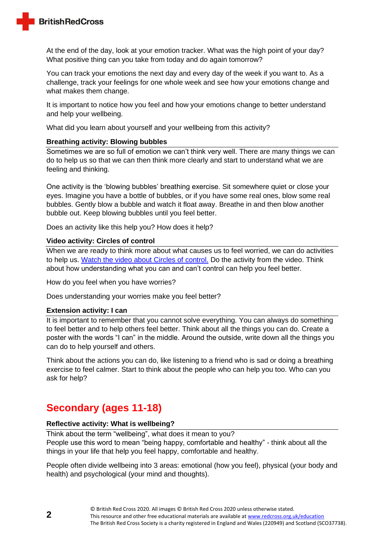

At the end of the day, look at your emotion tracker. What was the high point of your day? What positive thing can you take from today and do again tomorrow?

You can track your emotions the next day and every day of the week if you want to. As a challenge, track your feelings for one whole week and see how your emotions change and what makes them change.

It is important to notice how you feel and how your emotions change to better understand and help your wellbeing.

What did you learn about yourself and your wellbeing from this activity?

# **Breathing activity: Blowing bubbles**

Sometimes we are so full of emotion we can't think very well. There are many things we can do to help us so that we can then think more clearly and start to understand what we are feeling and thinking.

One activity is the 'blowing bubbles' breathing exercise. Sit somewhere quiet or close your eyes. Imagine you have a bottle of bubbles, or if you have some real ones, blow some real bubbles. Gently blow a bubble and watch it float away. Breathe in and then blow another bubble out. Keep blowing bubbles until you feel better.

Does an activity like this help you? How does it help?

#### **Video activity: Circles of control**

When we are ready to think more about what causes us to feel worried, we can do activities to help us. [Watch the video about Circles of control.](https://www.youtube.com/watch?v=1mw6M-0_Q7I) Do the activity from the video. Think about how understanding what you can and can't control can help you feel better.

How do you feel when you have worries?

Does understanding your worries make you feel better?

# **Extension activity: I can**

It is important to remember that you cannot solve everything. You can always do something to feel better and to help others feel better. Think about all the things you can do. Create a poster with the words "I can" in the middle. Around the outside, write down all the things you can do to help yourself and others.

Think about the actions you can do, like listening to a friend who is sad or doing a breathing exercise to feel calmer. Start to think about the people who can help you too. Who can you ask for help?

# **Secondary (ages 11-18)**

# **Reflective activity: What is wellbeing?**

Think about the term "wellbeing", what does it mean to you? People use this word to mean "being happy, comfortable and healthy" - think about all the things in your life that help you feel happy, comfortable and healthy.

People often divide wellbeing into 3 areas: emotional (how you feel), physical (your body and health) and psychological (your mind and thoughts).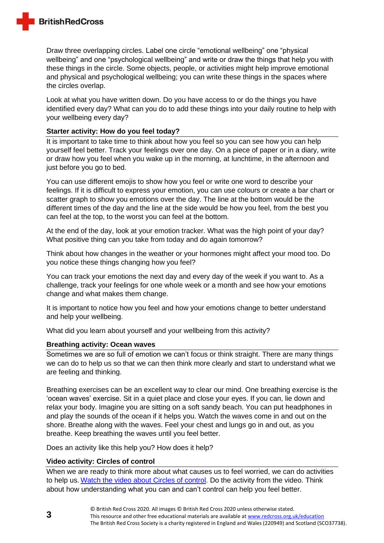

Draw three overlapping circles. Label one circle "emotional wellbeing" one "physical wellbeing" and one "psychological wellbeing" and write or draw the things that help you with these things in the circle. Some objects, people, or activities might help improve emotional and physical and psychological wellbeing; you can write these things in the spaces where the circles overlap.

Look at what you have written down. Do you have access to or do the things you have identified every day? What can you do to add these things into your daily routine to help with your wellbeing every day?

#### **Starter activity: How do you feel today?**

It is important to take time to think about how you feel so you can see how you can help yourself feel better. Track your feelings over one day. On a piece of paper or in a diary, write or draw how you feel when you wake up in the morning, at lunchtime, in the afternoon and just before you go to bed.

You can use different emojis to show how you feel or write one word to describe your feelings. If it is difficult to express your emotion, you can use colours or create a bar chart or scatter graph to show you emotions over the day. The line at the bottom would be the different times of the day and the line at the side would be how you feel, from the best you can feel at the top, to the worst you can feel at the bottom.

At the end of the day, look at your emotion tracker. What was the high point of your day? What positive thing can you take from today and do again tomorrow?

Think about how changes in the weather or your hormones might affect your mood too. Do you notice these things changing how you feel?

You can track your emotions the next day and every day of the week if you want to. As a challenge, track your feelings for one whole week or a month and see how your emotions change and what makes them change.

It is important to notice how you feel and how your emotions change to better understand and help your wellbeing.

What did you learn about yourself and your wellbeing from this activity?

# **Breathing activity: Ocean waves**

Sometimes we are so full of emotion we can't focus or think straight. There are many things we can do to help us so that we can then think more clearly and start to understand what we are feeling and thinking.

Breathing exercises can be an excellent way to clear our mind. One breathing exercise is the 'ocean waves' exercise. Sit in a quiet place and close your eyes. If you can, lie down and relax your body. Imagine you are sitting on a soft sandy beach. You can put headphones in and play the sounds of the ocean if it helps you. Watch the waves come in and out on the shore. Breathe along with the waves. Feel your chest and lungs go in and out, as you breathe. Keep breathing the waves until you feel better.

Does an activity like this help you? How does it help?

# **Video activity: Circles of control**

When we are ready to think more about what causes us to feel worried, we can do activities to help us. [Watch the video about Circles of control.](https://www.youtube.com/watch?v=1mw6M-0_Q7I) Do the activity from the video. Think about how understanding what you can and can't control can help you feel better.